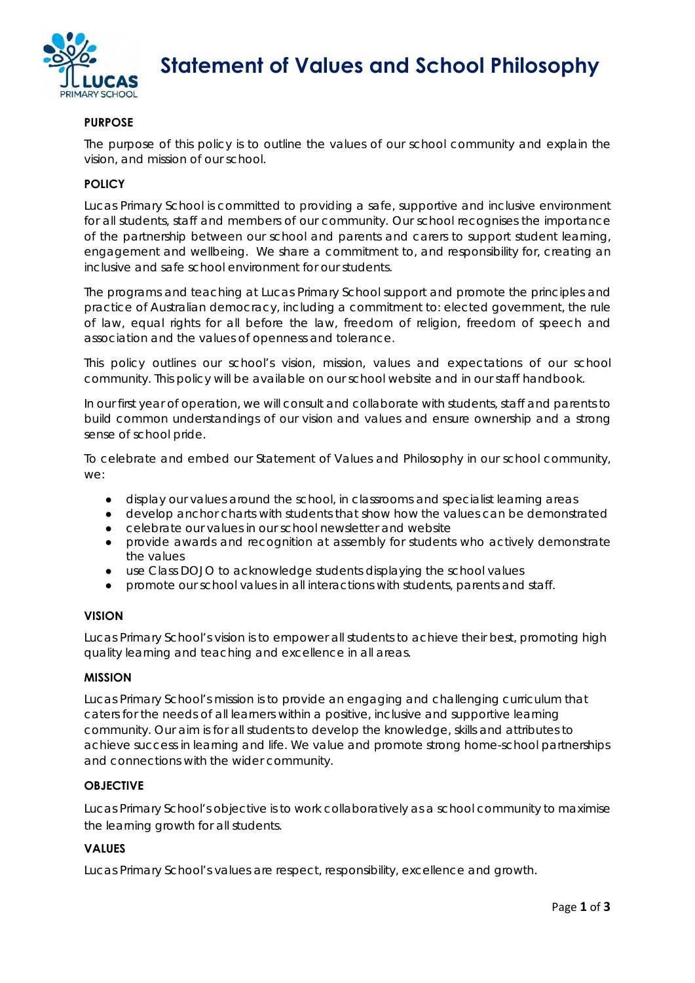

 **Statement of Values and School Philosophy** 

## **PURPOSE**

The purpose of this policy is to outline the values of our school community and explain the vision, and mission of our school.

## **POLICY**

Lucas Primary School is committed to providing a safe, supportive and inclusive environment for all students, staff and members of our community. Our school recognises the importance of the partnership between our school and parents and carers to support student learning, engagement and wellbeing. We share a commitment to, and responsibility for, creating an inclusive and safe school environment for our students.

The programs and teaching at Lucas Primary School support and promote the principles and practice of Australian democracy, including a commitment to: elected government, the rule of law, equal rights for all before the law, freedom of religion, freedom of speech and association and the values of openness and tolerance.

This policy outlines our school's vision, mission, values and expectations of our school community. This policy will be available on our school website and in our staff handbook.

In our first year of operation, we will consult and collaborate with students, staff and parents to build common understandings of our vision and values and ensure ownership and a strong sense of school pride.

To celebrate and embed our Statement of Values and Philosophy in our school community, we:

- display our values around the school, in classrooms and specialist learning areas
- develop anchor charts with students that show how the values can be demonstrated
- celebrate our values in our school newsletter and website
- provide awards and recognition at assembly for students who actively demonstrate the values
- use Class DOJO to acknowledge students displaying the school values
- promote our school values in all interactions with students, parents and staff.

#### **VISION**

Lucas Primary School's vision is to empower all students to achieve their best, promoting high quality learning and teaching and excellence in all areas.

#### **MISSION**

Lucas Primary School's mission is to provide an engaging and challenging curriculum that caters for the needs of all learners within a positive, inclusive and supportive learning community. Our aim is for all students to develop the knowledge, skills and attributes to achieve success in learning and life. We value and promote strong home-school partnerships and connections with the wider community.

#### **OBJECTIVE**

Lucas Primary School's objective is to work collaboratively as a school community to maximise the learning growth for all students.

#### **VALUES**

Lucas Primary School's values are respect, responsibility, excellence and growth.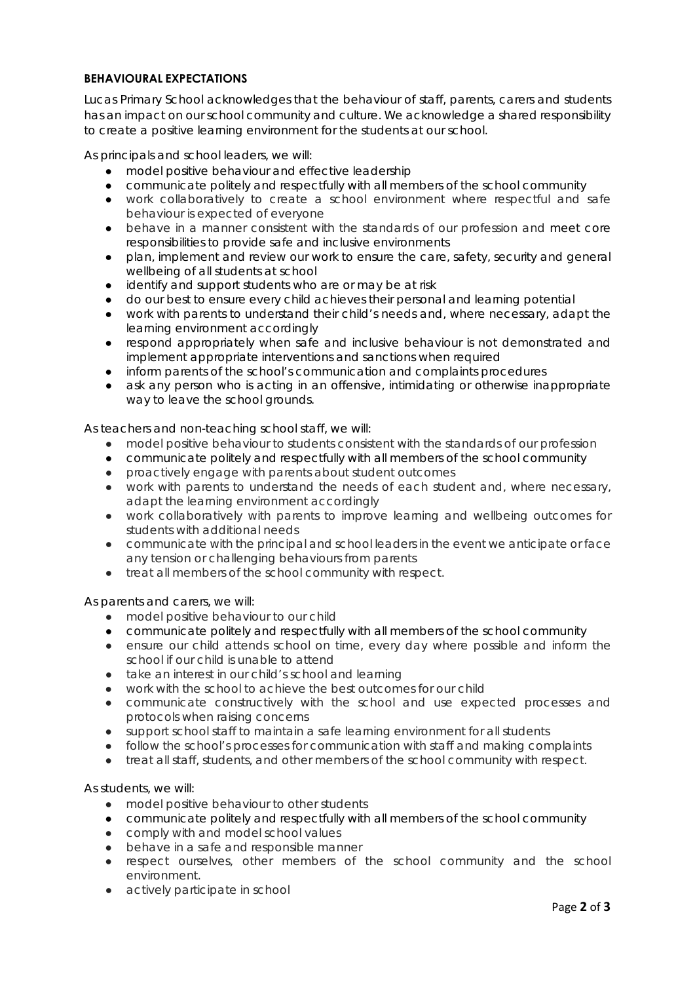# **BEHAVIOURAL EXPECTATIONS**

Lucas Primary School acknowledges that the behaviour of staff, parents, carers and students has an impact on our school community and culture. We acknowledge a shared responsibility to create a positive learning environment for the students at our school.

As principals and school leaders, we will:

- model positive behaviour and effective leadership
- communicate politely and respectfully with all members of the school community
- work collaboratively to create a school environment where respectful and safe behaviour is expected of everyone
- behave in a manner consistent with the standards of our profession and meet core responsibilities to provide safe and inclusive environments
- plan, implement and review our work to ensure the care, safety, security and general wellbeing of all students at school
- identify and support students who are or may be at risk
- do our best to ensure every child achieves their personal and learning potential
- work with parents to understand their child's needs and, where necessary, adapt the learning environment accordingly
- respond appropriately when safe and inclusive behaviour is not demonstrated and implement appropriate interventions and sanctions when required
- inform parents of the school's communication and complaints procedures
- ask any person who is acting in an offensive, intimidating or otherwise inappropriate way to leave the school grounds.

As teachers and non-teaching school staff, we will:

- model positive behaviour to students consistent with the standards of our profession
- communicate politely and respectfully with all members of the school community
- proactively engage with parents about student outcomes
- work with parents to understand the needs of each student and, where necessary, adapt the learning environment accordingly
- work collaboratively with parents to improve learning and wellbeing outcomes for students with additional needs
- communicate with the principal and school leaders in the event we anticipate or face any tension or challenging behaviours from parents
- treat all members of the school community with respect.

As parents and carers, we will:

- model positive behaviour to our child
- communicate politely and respectfully with all members of the school community
- ensure our child attends school on time, every day where possible and inform the school if our child is unable to attend
- take an interest in our child's school and learning
- work with the school to achieve the best outcomes for our child
- communicate constructively with the school and use expected processes and protocols when raising concerns
- support school staff to maintain a safe learning environment for all students
- follow the school's processes for communication with staff and making complaints
- treat all staff, students, and other members of the school community with respect.

As students, we will:

- model positive behaviour to other students
- communicate politely and respectfully with all members of the school community
- comply with and model school values
- behave in a safe and responsible manner
- respect ourselves, other members of the school community and the school environment.
- actively participate in school